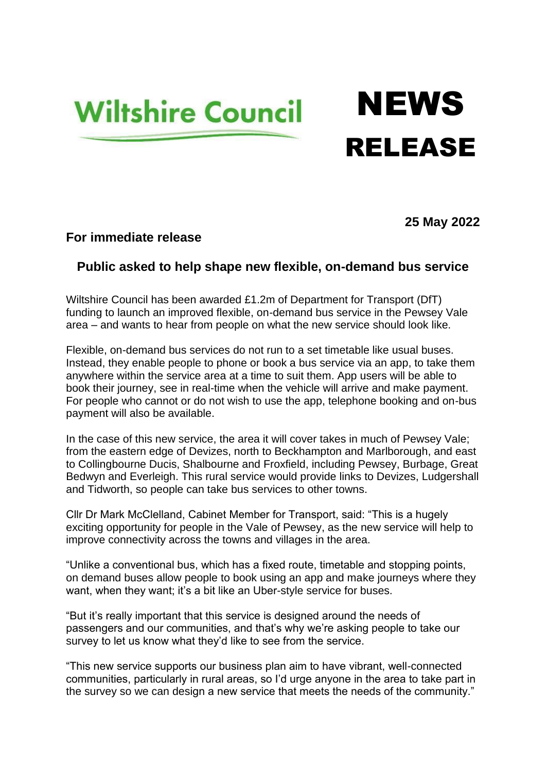## **Wiltshire Council**

## **NEWS** RELEASE

**25 May 2022**

## **For immediate release**

## **Public asked to help shape new flexible, on-demand bus service**

Wiltshire Council has been awarded £1.2m of Department for Transport (DfT) funding to launch an improved flexible, on-demand bus service in the Pewsey Vale area – and wants to hear from people on what the new service should look like.

Flexible, on-demand bus services do not run to a set timetable like usual buses. Instead, they enable people to phone or book a bus service via an app, to take them anywhere within the service area at a time to suit them. App users will be able to book their journey, see in real-time when the vehicle will arrive and make payment. For people who cannot or do not wish to use the app, telephone booking and on-bus payment will also be available.

In the case of this new service, the area it will cover takes in much of Pewsey Vale; from the eastern edge of Devizes, north to Beckhampton and Marlborough, and east to Collingbourne Ducis, Shalbourne and Froxfield, including Pewsey, Burbage, Great Bedwyn and Everleigh. This rural service would provide links to Devizes, Ludgershall and Tidworth, so people can take bus services to other towns.

Cllr Dr Mark McClelland, Cabinet Member for Transport, said: "This is a hugely exciting opportunity for people in the Vale of Pewsey, as the new service will help to improve connectivity across the towns and villages in the area.

"Unlike a conventional bus, which has a fixed route, timetable and stopping points, on demand buses allow people to book using an app and make journeys where they want, when they want; it's a bit like an Uber-style service for buses.

"But it's really important that this service is designed around the needs of passengers and our communities, and that's why we're asking people to take our survey to let us know what they'd like to see from the service.

"This new service supports our business plan aim to have vibrant, well-connected communities, particularly in rural areas, so I'd urge anyone in the area to take part in the survey so we can design a new service that meets the needs of the community."